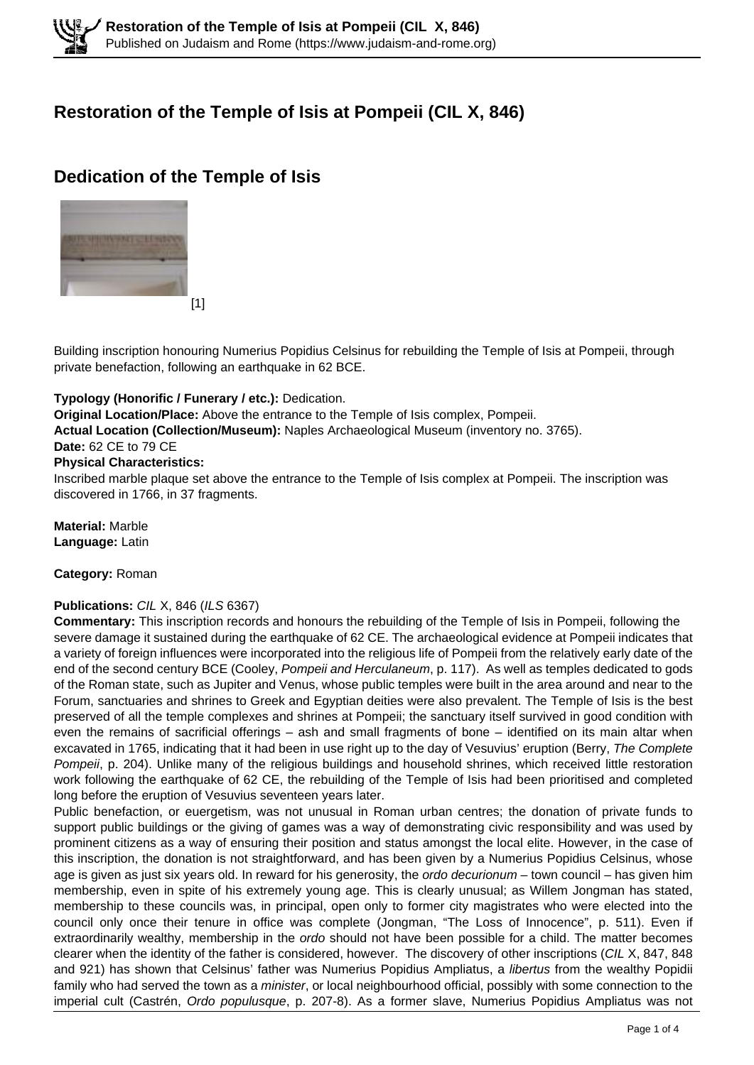# **Restoration of the Temple of Isis at Pompeii (CIL X, 846)**

# **Dedication of the Temple of Isis**



Building inscription honouring Numerius Popidius Celsinus for rebuilding the Temple of Isis at Pompeii, through private benefaction, following an earthquake in 62 BCE.

### **Typology (Honorific / Funerary / etc.):** Dedication.

**Original Location/Place:** Above the entrance to the Temple of Isis complex, Pompeii.

**Actual Location (Collection/Museum):** Naples Archaeological Museum (inventory no. 3765).

### **Date:** 62 CE to 79 CE

### **Physical Characteristics:**

Inscribed marble plaque set above the entrance to the Temple of Isis complex at Pompeii. The inscription was discovered in 1766, in 37 fragments.

**Material:** Marble **Language:** Latin

#### **Category:** Roman

### **Publications:** CIL X, 846 (ILS 6367)

**Commentary:** This inscription records and honours the rebuilding of the Temple of Isis in Pompeii, following the severe damage it sustained during the earthquake of 62 CE. The archaeological evidence at Pompeii indicates that a variety of foreign influences were incorporated into the religious life of Pompeii from the relatively early date of the end of the second century BCE (Cooley, Pompeii and Herculaneum, p. 117). As well as temples dedicated to gods of the Roman state, such as Jupiter and Venus, whose public temples were built in the area around and near to the Forum, sanctuaries and shrines to Greek and Egyptian deities were also prevalent. The Temple of Isis is the best preserved of all the temple complexes and shrines at Pompeii; the sanctuary itself survived in good condition with even the remains of sacrificial offerings – ash and small fragments of bone – identified on its main altar when excavated in 1765, indicating that it had been in use right up to the day of Vesuvius' eruption (Berry, The Complete Pompeii, p. 204). Unlike many of the religious buildings and household shrines, which received little restoration work following the earthquake of 62 CE, the rebuilding of the Temple of Isis had been prioritised and completed long before the eruption of Vesuvius seventeen years later.

Public benefaction, or euergetism, was not unusual in Roman urban centres; the donation of private funds to support public buildings or the giving of games was a way of demonstrating civic responsibility and was used by prominent citizens as a way of ensuring their position and status amongst the local elite. However, in the case of this inscription, the donation is not straightforward, and has been given by a Numerius Popidius Celsinus, whose age is given as just six years old. In reward for his generosity, the ordo decurionum – town council – has given him membership, even in spite of his extremely young age. This is clearly unusual; as Willem Jongman has stated, membership to these councils was, in principal, open only to former city magistrates who were elected into the council only once their tenure in office was complete (Jongman, "The Loss of Innocence", p. 511). Even if extraordinarily wealthy, membership in the ordo should not have been possible for a child. The matter becomes clearer when the identity of the father is considered, however. The discovery of other inscriptions (CIL X, 847, 848 and 921) has shown that Celsinus' father was Numerius Popidius Ampliatus, a libertus from the wealthy Popidii family who had served the town as a minister, or local neighbourhood official, possibly with some connection to the imperial cult (Castrén, Ordo populusque, p. 207-8). As a former slave, Numerius Popidius Ampliatus was not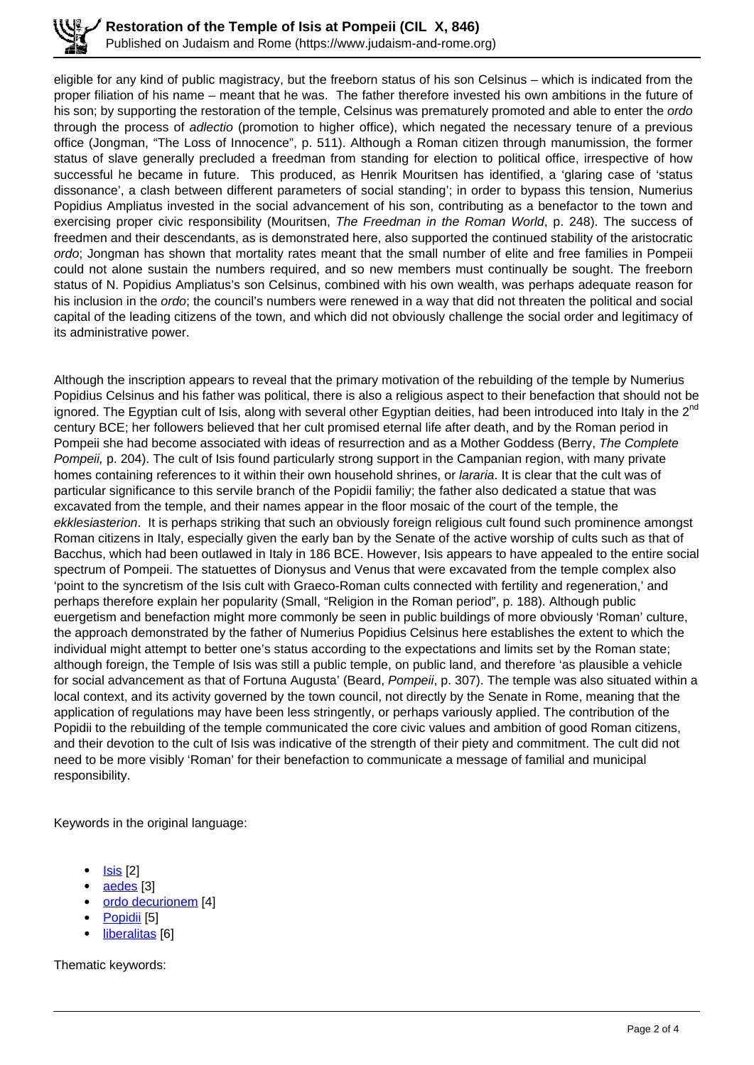eligible for any kind of public magistracy, but the freeborn status of his son Celsinus – which is indicated from the proper filiation of his name – meant that he was. The father therefore invested his own ambitions in the future of his son; by supporting the restoration of the temple, Celsinus was prematurely promoted and able to enter the ordo through the process of adlectio (promotion to higher office), which negated the necessary tenure of a previous office (Jongman, "The Loss of Innocence", p. 511). Although a Roman citizen through manumission, the former status of slave generally precluded a freedman from standing for election to political office, irrespective of how successful he became in future. This produced, as Henrik Mouritsen has identified, a 'glaring case of 'status dissonance', a clash between different parameters of social standing'; in order to bypass this tension, Numerius Popidius Ampliatus invested in the social advancement of his son, contributing as a benefactor to the town and exercising proper civic responsibility (Mouritsen, The Freedman in the Roman World, p. 248). The success of freedmen and their descendants, as is demonstrated here, also supported the continued stability of the aristocratic ordo; Jongman has shown that mortality rates meant that the small number of elite and free families in Pompeii could not alone sustain the numbers required, and so new members must continually be sought. The freeborn status of N. Popidius Ampliatus's son Celsinus, combined with his own wealth, was perhaps adequate reason for his inclusion in the *ordo*; the council's numbers were renewed in a way that did not threaten the political and social capital of the leading citizens of the town, and which did not obviously challenge the social order and legitimacy of its administrative power.

Although the inscription appears to reveal that the primary motivation of the rebuilding of the temple by Numerius Popidius Celsinus and his father was political, there is also a religious aspect to their benefaction that should not be ignored. The Egyptian cult of Isis, along with several other Egyptian deities, had been introduced into Italy in the 2<sup>nd</sup> century BCE; her followers believed that her cult promised eternal life after death, and by the Roman period in Pompeii she had become associated with ideas of resurrection and as a Mother Goddess (Berry, The Complete Pompeii, p. 204). The cult of Isis found particularly strong support in the Campanian region, with many private homes containing references to it within their own household shrines, or *lararia*. It is clear that the cult was of particular significance to this servile branch of the Popidii familiy; the father also dedicated a statue that was excavated from the temple, and their names appear in the floor mosaic of the court of the temple, the ekklesiasterion. It is perhaps striking that such an obviously foreign religious cult found such prominence amongst Roman citizens in Italy, especially given the early ban by the Senate of the active worship of cults such as that of Bacchus, which had been outlawed in Italy in 186 BCE. However, Isis appears to have appealed to the entire social spectrum of Pompeii. The statuettes of Dionysus and Venus that were excavated from the temple complex also 'point to the syncretism of the Isis cult with Graeco-Roman cults connected with fertility and regeneration,' and perhaps therefore explain her popularity (Small, "Religion in the Roman period", p. 188). Although public euergetism and benefaction might more commonly be seen in public buildings of more obviously 'Roman' culture, the approach demonstrated by the father of Numerius Popidius Celsinus here establishes the extent to which the individual might attempt to better one's status according to the expectations and limits set by the Roman state; although foreign, the Temple of Isis was still a public temple, on public land, and therefore 'as plausible a vehicle for social advancement as that of Fortuna Augusta' (Beard, Pompeii, p. 307). The temple was also situated within a local context, and its activity governed by the town council, not directly by the Senate in Rome, meaning that the application of regulations may have been less stringently, or perhaps variously applied. The contribution of the Popidii to the rebuilding of the temple communicated the core civic values and ambition of good Roman citizens, and their devotion to the cult of Isis was indicative of the strength of their piety and commitment. The cult did not need to be more visibly 'Roman' for their benefaction to communicate a message of familial and municipal responsibility.

Keywords in the original language:

- Isis [2]
- aedes [3]
- ordo decurionem [4]
- Popidii [5]
- liberalitas [6]

Thematic keywords: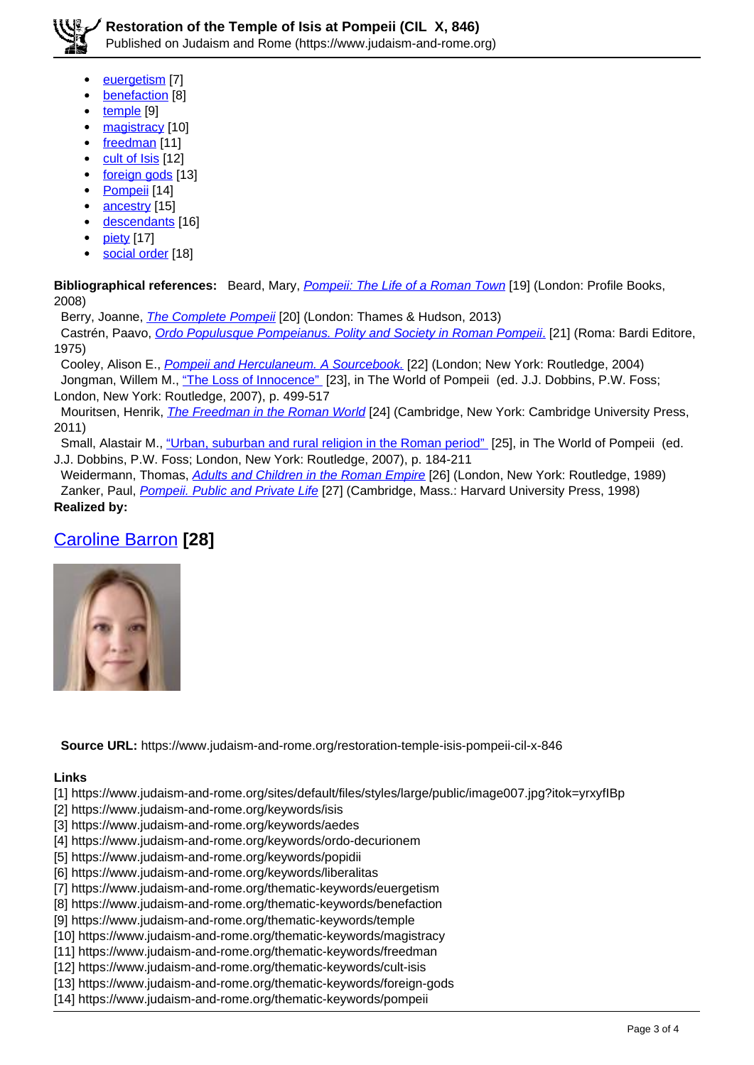- euergetism [7] benefaction [8]
- 
- temple [9]
- magistracy [10]
- freedman [11]
- cult of Isis [12]
- foreign gods [13]
- Pompeii [14]
- ancestry [15]
- descendants [16]
- piety [17]
- social order [18]

**Bibliographical references:** Beard, Mary, *Pompeii: The Life of a Roman Town* [19] (London: Profile Books, 2008)

Berry, Joanne, *The Complete Pompeii* [20] (London: Thames & Hudson, 2013)

Castrén, Paavo, Ordo Populusque Pompeianus. Polity and Society in Roman Pompeii. [21] (Roma: Bardi Editore, 1975)

Cooley, Alison E., Pompeii and Herculaneum. A Sourcebook. [22] (London; New York: Routledge, 2004)

Jongman, Willem M., "The Loss of Innocence" [23], in The World of Pompeii (ed. J.J. Dobbins, P.W. Foss; London, New York: Routledge, 2007), p. 499-517

Mouritsen, Henrik, *The Freedman in the Roman World* [24] (Cambridge, New York: Cambridge University Press, 2011)

 Small, Alastair M., "Urban, suburban and rural religion in the Roman period" [25], in The World of Pompeii (ed. J.J. Dobbins, P.W. Foss; London, New York: Routledge, 2007), p. 184-211

Weidermann, Thomas, **Adults and Children in the Roman Empire** [26] (London, New York: Routledge, 1989) Zanker, Paul, Pompeii. Public and Private Life [27] (Cambridge, Mass.: Harvard University Press, 1998) **Realized by:** 

# Caroline Barron **[28]**



**Source URL:** https://www.judaism-and-rome.org/restoration-temple-isis-pompeii-cil-x-846

#### **Links**

[1] https://www.judaism-and-rome.org/sites/default/files/styles/large/public/image007.jpg?itok=yrxyfIBp

- [2] https://www.judaism-and-rome.org/keywords/isis
- [3] https://www.judaism-and-rome.org/keywords/aedes
- [4] https://www.judaism-and-rome.org/keywords/ordo-decurionem
- [5] https://www.judaism-and-rome.org/keywords/popidii
- [6] https://www.judaism-and-rome.org/keywords/liberalitas
- [7] https://www.judaism-and-rome.org/thematic-keywords/euergetism
- [8] https://www.judaism-and-rome.org/thematic-keywords/benefaction
- [9] https://www.judaism-and-rome.org/thematic-keywords/temple
- [10] https://www.judaism-and-rome.org/thematic-keywords/magistracy
- [11] https://www.judaism-and-rome.org/thematic-keywords/freedman
- [12] https://www.judaism-and-rome.org/thematic-keywords/cult-isis
- [13] https://www.judaism-and-rome.org/thematic-keywords/foreign-gods
- [14] https://www.judaism-and-rome.org/thematic-keywords/pompeii